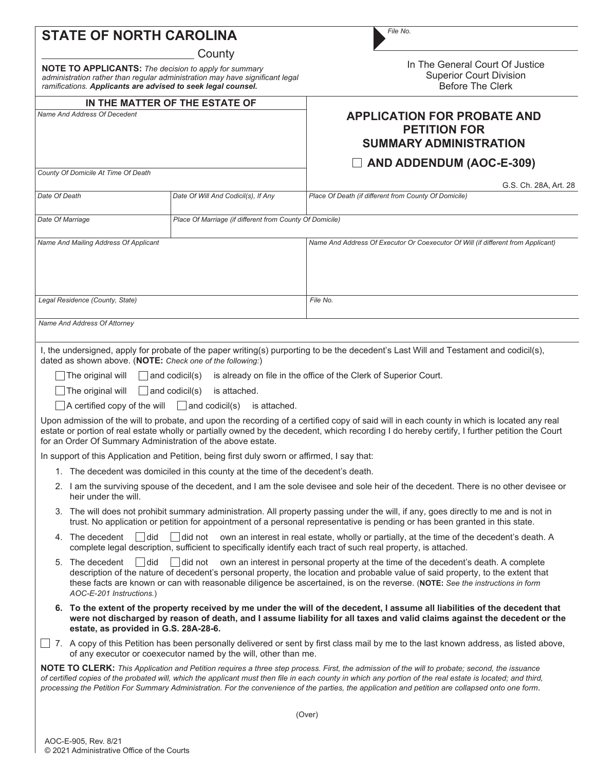|                                                                                                                                                                                                                                                                                                                                                                                                                                                                  | <b>STATE OF NORTH CAROLINA</b>                                                                                                                                                                            |                                                                                                                                                                                                                                                                                                                                                                                                                           | File No.                                                                                                                                                                                                                                                                                                                                                                                                                                                                                                                                                                                                                                                                                                                                                                                                                                                                                                                                                                                                                                                                                                                                                                                                                                                                                                                                                                                                                                                                                                                                  |  |  |  |  |  |  |
|------------------------------------------------------------------------------------------------------------------------------------------------------------------------------------------------------------------------------------------------------------------------------------------------------------------------------------------------------------------------------------------------------------------------------------------------------------------|-----------------------------------------------------------------------------------------------------------------------------------------------------------------------------------------------------------|---------------------------------------------------------------------------------------------------------------------------------------------------------------------------------------------------------------------------------------------------------------------------------------------------------------------------------------------------------------------------------------------------------------------------|-------------------------------------------------------------------------------------------------------------------------------------------------------------------------------------------------------------------------------------------------------------------------------------------------------------------------------------------------------------------------------------------------------------------------------------------------------------------------------------------------------------------------------------------------------------------------------------------------------------------------------------------------------------------------------------------------------------------------------------------------------------------------------------------------------------------------------------------------------------------------------------------------------------------------------------------------------------------------------------------------------------------------------------------------------------------------------------------------------------------------------------------------------------------------------------------------------------------------------------------------------------------------------------------------------------------------------------------------------------------------------------------------------------------------------------------------------------------------------------------------------------------------------------------|--|--|--|--|--|--|
|                                                                                                                                                                                                                                                                                                                                                                                                                                                                  | ramifications. Applicants are advised to seek legal counsel.                                                                                                                                              | County<br><b>NOTE TO APPLICANTS:</b> The decision to apply for summary<br>administration rather than regular administration may have significant legal                                                                                                                                                                                                                                                                    | In The General Court Of Justice<br><b>Superior Court Division</b><br><b>Before The Clerk</b>                                                                                                                                                                                                                                                                                                                                                                                                                                                                                                                                                                                                                                                                                                                                                                                                                                                                                                                                                                                                                                                                                                                                                                                                                                                                                                                                                                                                                                              |  |  |  |  |  |  |
|                                                                                                                                                                                                                                                                                                                                                                                                                                                                  |                                                                                                                                                                                                           | IN THE MATTER OF THE ESTATE OF                                                                                                                                                                                                                                                                                                                                                                                            |                                                                                                                                                                                                                                                                                                                                                                                                                                                                                                                                                                                                                                                                                                                                                                                                                                                                                                                                                                                                                                                                                                                                                                                                                                                                                                                                                                                                                                                                                                                                           |  |  |  |  |  |  |
| Name And Address Of Decedent                                                                                                                                                                                                                                                                                                                                                                                                                                     |                                                                                                                                                                                                           |                                                                                                                                                                                                                                                                                                                                                                                                                           | <b>APPLICATION FOR PROBATE AND</b><br><b>PETITION FOR</b><br><b>SUMMARY ADMINISTRATION</b>                                                                                                                                                                                                                                                                                                                                                                                                                                                                                                                                                                                                                                                                                                                                                                                                                                                                                                                                                                                                                                                                                                                                                                                                                                                                                                                                                                                                                                                |  |  |  |  |  |  |
|                                                                                                                                                                                                                                                                                                                                                                                                                                                                  | County Of Domicile At Time Of Death                                                                                                                                                                       |                                                                                                                                                                                                                                                                                                                                                                                                                           | AND ADDENDUM (AOC-E-309)                                                                                                                                                                                                                                                                                                                                                                                                                                                                                                                                                                                                                                                                                                                                                                                                                                                                                                                                                                                                                                                                                                                                                                                                                                                                                                                                                                                                                                                                                                                  |  |  |  |  |  |  |
|                                                                                                                                                                                                                                                                                                                                                                                                                                                                  |                                                                                                                                                                                                           |                                                                                                                                                                                                                                                                                                                                                                                                                           | G.S. Ch. 28A, Art. 28                                                                                                                                                                                                                                                                                                                                                                                                                                                                                                                                                                                                                                                                                                                                                                                                                                                                                                                                                                                                                                                                                                                                                                                                                                                                                                                                                                                                                                                                                                                     |  |  |  |  |  |  |
| Date Of Death                                                                                                                                                                                                                                                                                                                                                                                                                                                    |                                                                                                                                                                                                           | Date Of Will And Codicil(s), If Any                                                                                                                                                                                                                                                                                                                                                                                       | Place Of Death (if different from County Of Domicile)                                                                                                                                                                                                                                                                                                                                                                                                                                                                                                                                                                                                                                                                                                                                                                                                                                                                                                                                                                                                                                                                                                                                                                                                                                                                                                                                                                                                                                                                                     |  |  |  |  |  |  |
| Date Of Marriage                                                                                                                                                                                                                                                                                                                                                                                                                                                 |                                                                                                                                                                                                           | Place Of Marriage (if different from County Of Domicile)                                                                                                                                                                                                                                                                                                                                                                  |                                                                                                                                                                                                                                                                                                                                                                                                                                                                                                                                                                                                                                                                                                                                                                                                                                                                                                                                                                                                                                                                                                                                                                                                                                                                                                                                                                                                                                                                                                                                           |  |  |  |  |  |  |
|                                                                                                                                                                                                                                                                                                                                                                                                                                                                  | Name And Mailing Address Of Applicant                                                                                                                                                                     |                                                                                                                                                                                                                                                                                                                                                                                                                           | Name And Address Of Executor Or Coexecutor Of Will (if different from Applicant)                                                                                                                                                                                                                                                                                                                                                                                                                                                                                                                                                                                                                                                                                                                                                                                                                                                                                                                                                                                                                                                                                                                                                                                                                                                                                                                                                                                                                                                          |  |  |  |  |  |  |
|                                                                                                                                                                                                                                                                                                                                                                                                                                                                  | Legal Residence (County, State)                                                                                                                                                                           |                                                                                                                                                                                                                                                                                                                                                                                                                           | File No.                                                                                                                                                                                                                                                                                                                                                                                                                                                                                                                                                                                                                                                                                                                                                                                                                                                                                                                                                                                                                                                                                                                                                                                                                                                                                                                                                                                                                                                                                                                                  |  |  |  |  |  |  |
|                                                                                                                                                                                                                                                                                                                                                                                                                                                                  | Name And Address Of Attorney                                                                                                                                                                              |                                                                                                                                                                                                                                                                                                                                                                                                                           |                                                                                                                                                                                                                                                                                                                                                                                                                                                                                                                                                                                                                                                                                                                                                                                                                                                                                                                                                                                                                                                                                                                                                                                                                                                                                                                                                                                                                                                                                                                                           |  |  |  |  |  |  |
|                                                                                                                                                                                                                                                                                                                                                                                                                                                                  | The original will<br>The original will<br>$\Box$ A certified copy of the will<br>heir under the will.<br>4. The decedent<br>l did<br>5. The decedent<br> did<br>AOC-E-201 Instructions.)                  | dated as shown above. (NOTE: Check one of the following:)<br>$\vert$ and codicil(s)<br>$\Box$ and codicil(s)<br>is attached.<br>$\Box$ and codicil(s)<br>is attached.<br>for an Order Of Summary Administration of the above estate.<br>In support of this Application and Petition, being first duly sworn or affirmed, I say that:<br>1. The decedent was domiciled in this county at the time of the decedent's death. | I, the undersigned, apply for probate of the paper writing(s) purporting to be the decedent's Last Will and Testament and codicil(s),<br>is already on file in the office of the Clerk of Superior Court.<br>Upon admission of the will to probate, and upon the recording of a certified copy of said will in each county in which is located any real<br>estate or portion of real estate wholly or partially owned by the decedent, which recording I do hereby certify, I further petition the Court<br>2. I am the surviving spouse of the decedent, and I am the sole devisee and sole heir of the decedent. There is no other devisee or<br>3. The will does not prohibit summary administration. All property passing under the will, if any, goes directly to me and is not in<br>trust. No application or petition for appointment of a personal representative is pending or has been granted in this state.<br>$\Box$ did not own an interest in real estate, wholly or partially, at the time of the decedent's death. A<br>complete legal description, sufficient to specifically identify each tract of such real property, is attached.<br>$\Box$ did not $\Box$ own an interest in personal property at the time of the decedent's death. A complete<br>description of the nature of decedent's personal property, the location and probable value of said property, to the extent that<br>these facts are known or can with reasonable diligence be ascertained, is on the reverse. (NOTE: See the instructions in form |  |  |  |  |  |  |
|                                                                                                                                                                                                                                                                                                                                                                                                                                                                  | estate, as provided in G.S. 28A-28-6.                                                                                                                                                                     |                                                                                                                                                                                                                                                                                                                                                                                                                           | 6. To the extent of the property received by me under the will of the decedent, I assume all liabilities of the decedent that<br>were not discharged by reason of death, and I assume liability for all taxes and valid claims against the decedent or the                                                                                                                                                                                                                                                                                                                                                                                                                                                                                                                                                                                                                                                                                                                                                                                                                                                                                                                                                                                                                                                                                                                                                                                                                                                                                |  |  |  |  |  |  |
|                                                                                                                                                                                                                                                                                                                                                                                                                                                                  | 7. A copy of this Petition has been personally delivered or sent by first class mail by me to the last known address, as listed above,<br>of any executor or coexecutor named by the will, other than me. |                                                                                                                                                                                                                                                                                                                                                                                                                           |                                                                                                                                                                                                                                                                                                                                                                                                                                                                                                                                                                                                                                                                                                                                                                                                                                                                                                                                                                                                                                                                                                                                                                                                                                                                                                                                                                                                                                                                                                                                           |  |  |  |  |  |  |
| NOTE TO CLERK: This Application and Petition requires a three step process. First, the admission of the will to probate; second, the issuance<br>of certified copies of the probated will, which the applicant must then file in each county in which any portion of the real estate is located; and third,<br>processing the Petition For Summary Administration. For the convenience of the parties, the application and petition are collapsed onto one form. |                                                                                                                                                                                                           |                                                                                                                                                                                                                                                                                                                                                                                                                           |                                                                                                                                                                                                                                                                                                                                                                                                                                                                                                                                                                                                                                                                                                                                                                                                                                                                                                                                                                                                                                                                                                                                                                                                                                                                                                                                                                                                                                                                                                                                           |  |  |  |  |  |  |
|                                                                                                                                                                                                                                                                                                                                                                                                                                                                  |                                                                                                                                                                                                           |                                                                                                                                                                                                                                                                                                                                                                                                                           | (Over)                                                                                                                                                                                                                                                                                                                                                                                                                                                                                                                                                                                                                                                                                                                                                                                                                                                                                                                                                                                                                                                                                                                                                                                                                                                                                                                                                                                                                                                                                                                                    |  |  |  |  |  |  |